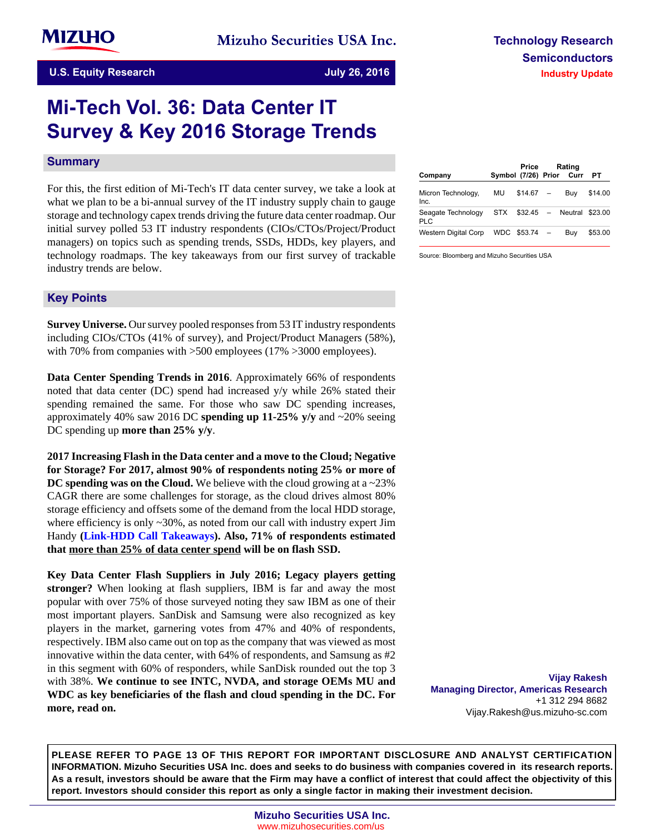# **Mi-Tech Vol. 36: Data Center IT Survey & Key 2016 Storage Trends**

#### **Summary**

For this, the first edition of Mi-Tech's IT data center survey, we take a look at what we plan to be a bi-annual survey of the IT industry supply chain to gauge storage and technology capex trends driving the future data center roadmap. Our initial survey polled 53 IT industry respondents (CIOs/CTOs/Project/Product managers) on topics such as spending trends, SSDs, HDDs, key players, and technology roadmaps. The key takeaways from our first survey of trackable industry trends are below.

#### **Key-Points**

**Survey Universe.** Our survey pooled responses from 53 IT industry respondents including CIOs/CTOs (41% of survey), and Project/Product Managers (58%), with 70% from companies with >500 employees (17% >3000 employees).

**Data Center Spending Trends in 2016**. Approximately 66% of respondents noted that data center (DC) spend had increased y/y while 26% stated their spending remained the same. For those who saw DC spending increases, approximately 40% saw 2016 DC **spending up 11-25% y/y** and ~20% seeing DC spending up **more than 25% y/y**.

**2017 Increasing Flash in the Data center and a move to the Cloud; Negative for Storage? For 2017, almost 90% of respondents noting 25% or more of DC spending was on the Cloud.** We believe with the cloud growing at a ~23% CAGR there are some challenges for storage, as the cloud drives almost 80% storage efficiency and offsets some of the demand from the local HDD storage, where efficiency is only  $\sim$  30%, as noted from our call with industry expert Jim Handy **(Link-HDD Call Takeaways). Also, 71% of respondents estimated that more than 25% of data center spend will be on flash SSD.**

**Key Data Center Flash Suppliers in July 2016; Legacy players getting stronger?** When looking at flash suppliers, IBM is far and away the most popular with over 75% of those surveyed noting they saw IBM as one of their most important players. SanDisk and Samsung were also recognized as key players in the market, garnering votes from 47% and 40% of respondents, respectively. IBM also came out on top as the company that was viewed as most innovative within the data center, with 64% of respondents, and Samsung as #2 in this segment with 60% of responders, while SanDisk rounded out the top 3 with 38%. **We continue to see INTC, NVDA, and storage OEMs MU and WDC as key beneficiaries of the flash and cloud spending in the DC. For more, read on.**

| Company                          |    | Price<br>Symbol (7/26) Prior Curr | Rating                | PТ      |
|----------------------------------|----|-----------------------------------|-----------------------|---------|
| Micron Technology,<br>Inc.       | MU | $$14.67 -$                        | Buy                   | \$14.00 |
| Seagate Technology<br><b>PLC</b> |    |                                   | STX \$32.45 – Neutral | \$23.00 |
| <b>Western Digital Corp</b>      |    | WDC \$53.74                       | Buv                   | \$53.00 |

Source: Bloomberg and Mizuho Securities USA

**Vijay Rakesh Managing Director, Americas Research** +1 312 294 8682 Vijay.Rakesh@us.mizuho-sc.com

**PLEASE REFER TO PAGE 13 OF THIS REPORT FOR IMPORTANT DISCLOSURE AND ANALYST CERTIFICATION INFORMATION. Mizuho Securities USA Inc. does and seeks to do business with companies covered in its research reports. As a result, investors should be aware that the Firm may have a conflict of interest that could affect the objectivity of this report. Investors should consider this report as only a single factor in making their investment decision.**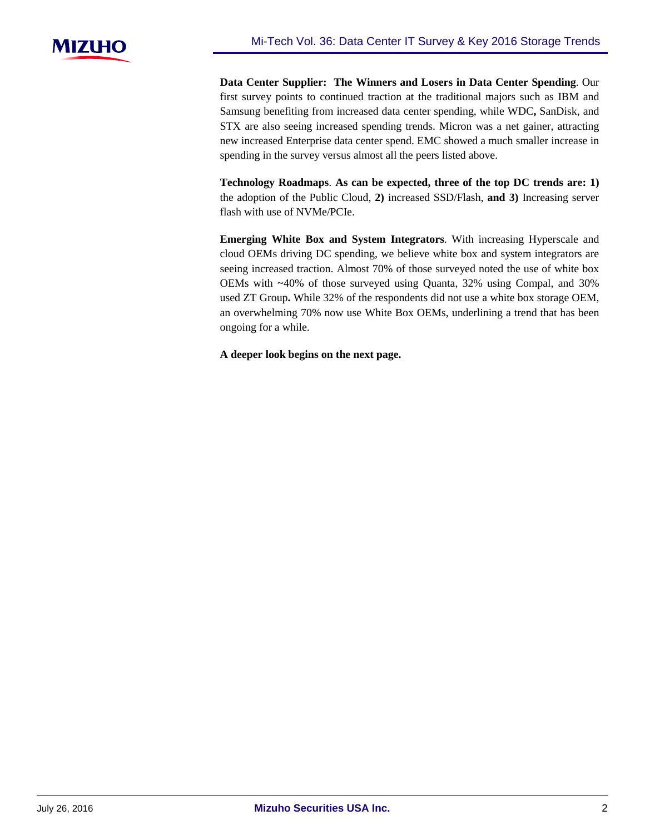

**Data Center Supplier: The Winners and Losers in Data Center Spending**. Our first survey points to continued traction at the traditional majors such as IBM and Samsung benefiting from increased data center spending, while WDC**,** SanDisk, and STX are also seeing increased spending trends. Micron was a net gainer, attracting new increased Enterprise data center spend. EMC showed a much smaller increase in spending in the survey versus almost all the peers listed above.

**Technology Roadmaps**. **As can be expected, three of the top DC trends are: 1)** the adoption of the Public Cloud, **2)** increased SSD/Flash, **and 3)** Increasing server flash with use of NVMe/PCIe.

**Emerging White Box and System Integrators**. With increasing Hyperscale and cloud OEMs driving DC spending, we believe white box and system integrators are seeing increased traction. Almost 70% of those surveyed noted the use of white box OEMs with ~40% of those surveyed using Quanta, 32% using Compal, and 30% used ZT Group**.** While 32% of the respondents did not use a white box storage OEM, an overwhelming 70% now use White Box OEMs, underlining a trend that has been ongoing for a while.

**A deeper look begins on the next page.**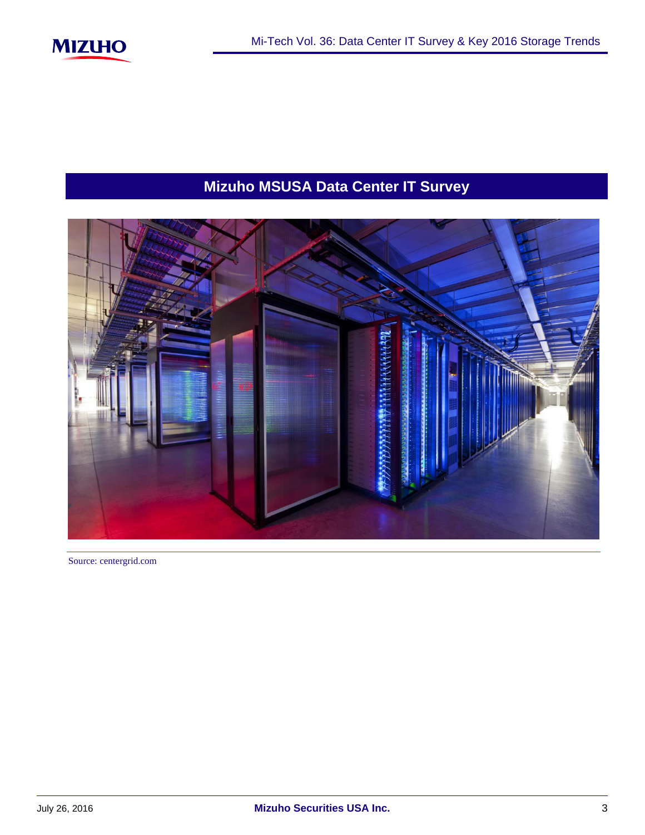

# **Mizuho MSUSA Data Center IT Survey**



Source: centergrid.com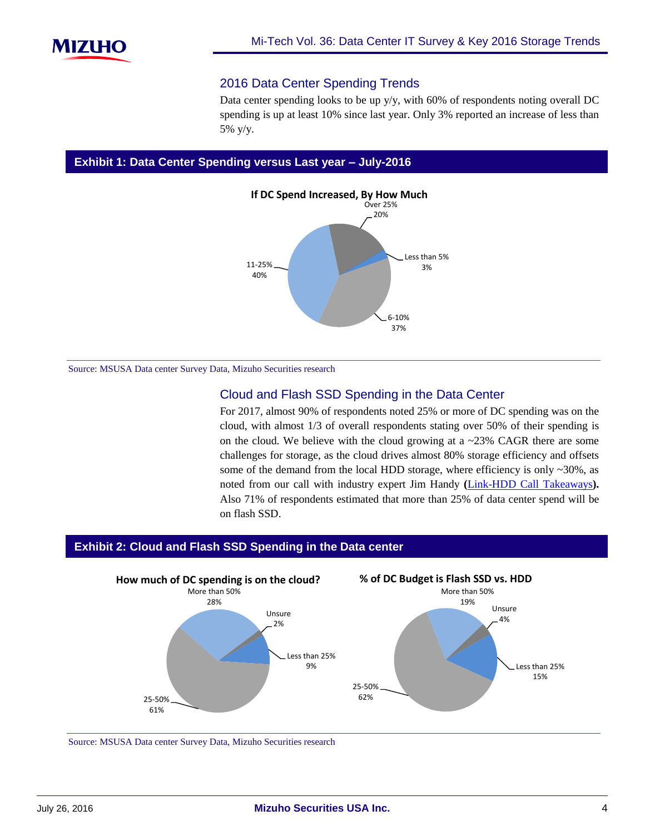

#### 2016 Data Center Spending Trends

Data center spending looks to be up  $y/y$ , with 60% of respondents noting overall DC spending is up at least 10% since last year. Only 3% reported an increase of less than 5% y/y.

#### **Exhibit 1: Data Center Spending versus Last year – July-2016**



Source: MSUSA Data center Survey Data, Mizuho Securities research

## Cloud and Flash SSD Spending in the Data Center

For 2017, almost 90% of respondents noted 25% or more of DC spending was on the cloud, with almost 1/3 of overall respondents stating over 50% of their spending is on the cloud. We believe with the cloud growing at a  $\sim$ 23% CAGR there are some challenges for storage, as the cloud drives almost 80% storage efficiency and offsets some of the demand from the local HDD storage, where efficiency is only ~30%, as noted from our call with industry expert Jim Handy **(**[Link-HDD Call Takeaways](https://msusa.bluematrix.com/docs/pdf/c82da458-e42a-4492-aead-f2859cadf7ba.pdf)**).** Also 71% of respondents estimated that more than 25% of data center spend will be on flash SSD.

#### **Exhibit 2: Cloud and Flash SSD Spending in the Data center**



Source: MSUSA Data center Survey Data, Mizuho Securities research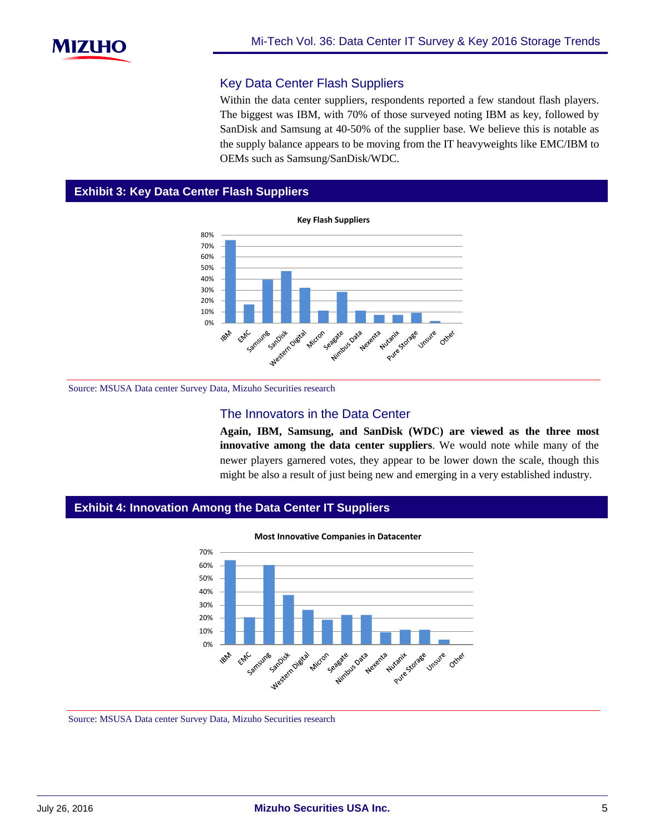## Key Data Center Flash Suppliers

Within the data center suppliers, respondents reported a few standout flash players. The biggest was IBM, with 70% of those surveyed noting IBM as key, followed by SanDisk and Samsung at 40-50% of the supplier base. We believe this is notable as the supply balance appears to be moving from the IT heavyweights like EMC/IBM to OEMs such as Samsung/SanDisk/WDC.

## **Exhibit 3: Key Data Center Flash Suppliers**



Source: MSUSA Data center Survey Data, Mizuho Securities research

#### The Innovators in the Data Center

**Again, IBM, Samsung, and SanDisk (WDC) are viewed as the three most innovative among the data center suppliers**. We would note while many of the newer players garnered votes, they appear to be lower down the scale, though this might be also a result of just being new and emerging in a very established industry.

#### **Exhibit 4: Innovation Among the Data Center IT Suppliers**



Source: MSUSA Data center Survey Data, Mizuho Securities research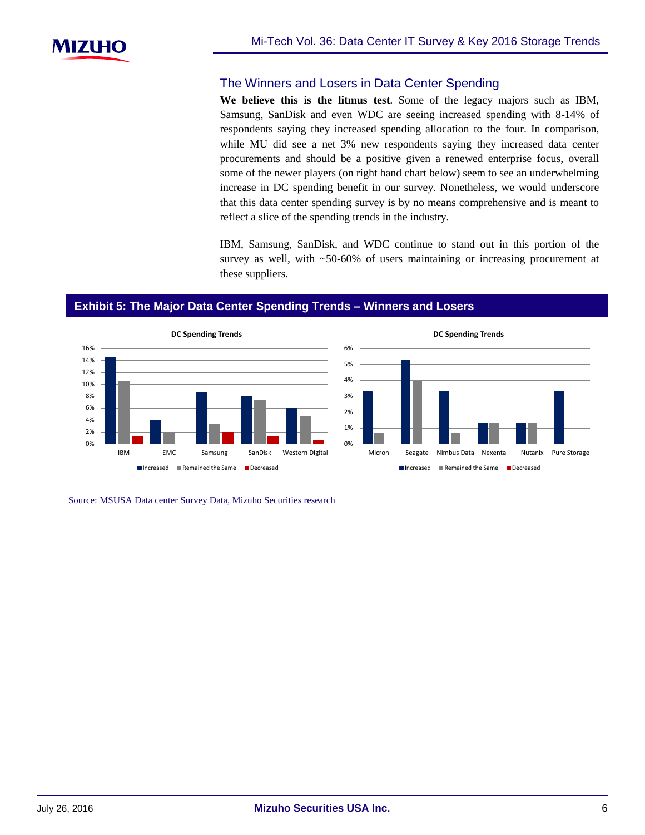

### The Winners and Losers in Data Center Spending

**We believe this is the litmus test**. Some of the legacy majors such as IBM, Samsung, SanDisk and even WDC are seeing increased spending with 8-14% of respondents saying they increased spending allocation to the four. In comparison, while MU did see a net 3% new respondents saying they increased data center procurements and should be a positive given a renewed enterprise focus, overall some of the newer players (on right hand chart below) seem to see an underwhelming increase in DC spending benefit in our survey. Nonetheless, we would underscore that this data center spending survey is by no means comprehensive and is meant to reflect a slice of the spending trends in the industry.

IBM, Samsung, SanDisk, and WDC continue to stand out in this portion of the survey as well, with ~50-60% of users maintaining or increasing procurement at these suppliers.

#### **Exhibit 5: The Major Data Center Spending Trends – Winners and Losers**



Source: MSUSA Data center Survey Data, Mizuho Securities research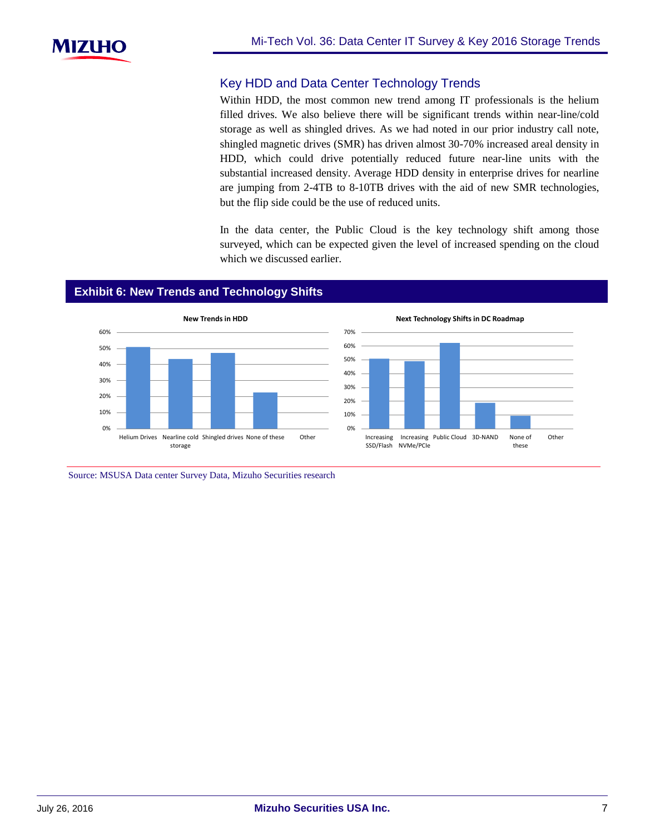

# Key HDD and Data Center Technology Trends

Within HDD, the most common new trend among IT professionals is the helium filled drives. We also believe there will be significant trends within near-line/cold storage as well as shingled drives. As we had noted in our prior industry call note, shingled magnetic drives (SMR) has driven almost 30-70% increased areal density in HDD, which could drive potentially reduced future near-line units with the substantial increased density. Average HDD density in enterprise drives for nearline are jumping from 2-4TB to 8-10TB drives with the aid of new SMR technologies, but the flip side could be the use of reduced units.

In the data center, the Public Cloud is the key technology shift among those surveyed, which can be expected given the level of increased spending on the cloud which we discussed earlier.

#### **Exhibit 6: New Trends and Technology Shifts**



**Next Technology Shifts in DC Roadmap**



Source: MSUSA Data center Survey Data, Mizuho Securities research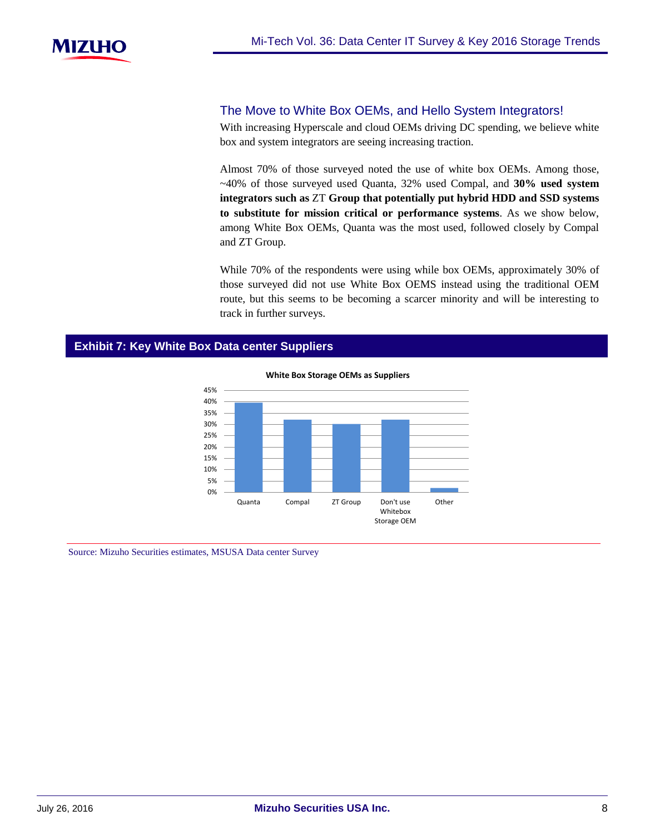

#### The Move to White Box OEMs, and Hello System Integrators!

With increasing Hyperscale and cloud OEMs driving DC spending, we believe white box and system integrators are seeing increasing traction.

Almost 70% of those surveyed noted the use of white box OEMs. Among those, ~40% of those surveyed used Quanta, 32% used Compal, and **30% used system integrators such as** ZT **Group that potentially put hybrid HDD and SSD systems to substitute for mission critical or performance systems**. As we show below, among White Box OEMs, Quanta was the most used, followed closely by Compal and ZT Group.

While 70% of the respondents were using while box OEMs, approximately 30% of those surveyed did not use White Box OEMS instead using the traditional OEM route, but this seems to be becoming a scarcer minority and will be interesting to track in further surveys.

#### **Exhibit 7: Key White Box Data center Suppliers**



**White Box Storage OEMs as Suppliers**

Source: Mizuho Securities estimates, MSUSA Data center Survey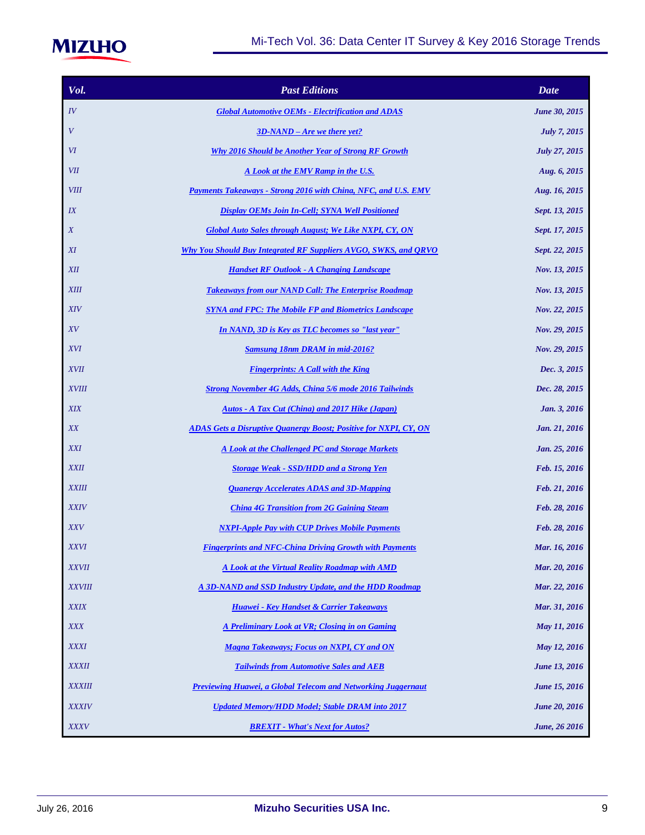

| Vol.               | <b>Past Editions</b>                                                    | <b>Date</b>          |
|--------------------|-------------------------------------------------------------------------|----------------------|
| $I\hspace{-.1em}V$ | <b>Global Automotive OEMs - Electrification and ADAS</b>                | <b>June 30, 2015</b> |
| $\boldsymbol{V}$   | $3D-NAND - Are we there yet?$                                           | <b>July 7, 2015</b>  |
| VI                 | Why 2016 Should be Another Year of Strong RF Growth                     | July 27, 2015        |
| VII                | A Look at the EMV Ramp in the U.S.                                      | Aug. 6, 2015         |
| <b>VIII</b>        | Payments Takeaways - Strong 2016 with China, NFC, and U.S. EMV          | Aug. 16, 2015        |
| IX                 | <b>Display OEMs Join In-Cell; SYNA Well Positioned</b>                  | Sept. 13, 2015       |
| X                  | Global Auto Sales through August; We Like NXPI, CY, ON                  | Sept. 17, 2015       |
| XI                 | Why You Should Buy Integrated RF Suppliers AVGO, SWKS, and ORVO         | Sept. 22, 2015       |
| <b>XII</b>         | <b>Handset RF Outlook - A Changing Landscape</b>                        | Nov. 13, 2015        |
| <b>XIII</b>        | <b>Takeaways from our NAND Call: The Enterprise Roadmap</b>             | Nov. 13, 2015        |
| <b>XIV</b>         | <b>SYNA and FPC: The Mobile FP and Biometrics Landscape</b>             | Nov. 22, 2015        |
| XV                 | In NAND, 3D is Key as TLC becomes so "last year"                        | Nov. 29, 2015        |
| <i>XVI</i>         | <b>Samsung 18nm DRAM in mid-2016?</b>                                   | Nov. 29, 2015        |
| <b>XVII</b>        | <b>Fingerprints: A Call with the King</b>                               | Dec. 3, 2015         |
| <b>XVIII</b>       | <b>Strong November 4G Adds, China 5/6 mode 2016 Tailwinds</b>           | Dec. 28, 2015        |
| <b>XIX</b>         | Autos - A Tax Cut (China) and 2017 Hike (Japan)                         | Jan. 3, 2016         |
| XX                 | <b>ADAS Gets a Disruptive Quanergy Boost; Positive for NXPI, CY, ON</b> | Jan. 21, 2016        |
| <b>XXI</b>         | A Look at the Challenged PC and Storage Markets                         | Jan. 25, 2016        |
| <b>XXII</b>        | <b>Storage Weak - SSD/HDD and a Strong Yen</b>                          | Feb. 15, 2016        |
| <b>XXIII</b>       | <b>Ouanergy Accelerates ADAS and 3D-Mapping</b>                         | Feb. 21, 2016        |
| <b>XXIV</b>        | <b>China 4G Transition from 2G Gaining Steam</b>                        | Feb. 28, 2016        |
| <i>XXV</i>         | <b>NXPI-Apple Pay with CUP Drives Mobile Payments</b>                   | Feb. 28, 2016        |
| <b>XXVI</b>        | <b>Fingerprints and NFC-China Driving Growth with Payments</b>          | Mar. 16, 2016        |
| <b>XXVII</b>       | A Look at the Virtual Reality Roadmap with AMD                          | Mar. 20, 2016        |
| <b>XXVIII</b>      | A 3D-NAND and SSD Industry Update, and the HDD Roadmap                  | Mar. 22, 2016        |
| <b>XXIX</b>        | Huawei - Key Handset & Carrier Takeaways                                | Mar. 31, 2016        |
| <b>XXX</b>         | A Preliminary Look at VR; Closing in on Gaming                          | May 11, 2016         |
| <b>XXXI</b>        | <b>Magna Takeaways: Focus on NXPI, CY and ON</b>                        | May 12, 2016         |
| <b>XXXII</b>       | <b>Tailwinds from Automotive Sales and AEB</b>                          | <b>June 13, 2016</b> |
| <b>XXXIII</b>      | <b>Previewing Huawei, a Global Telecom and Networking Juggernaut</b>    | <b>June 15, 2016</b> |
| <b>XXXIV</b>       | <b>Updated Memory/HDD Model; Stable DRAM into 2017</b>                  | <b>June 20, 2016</b> |
| <b>XXXV</b>        | <b>BREXIT - What's Next for Autos?</b>                                  | <b>June, 26 2016</b> |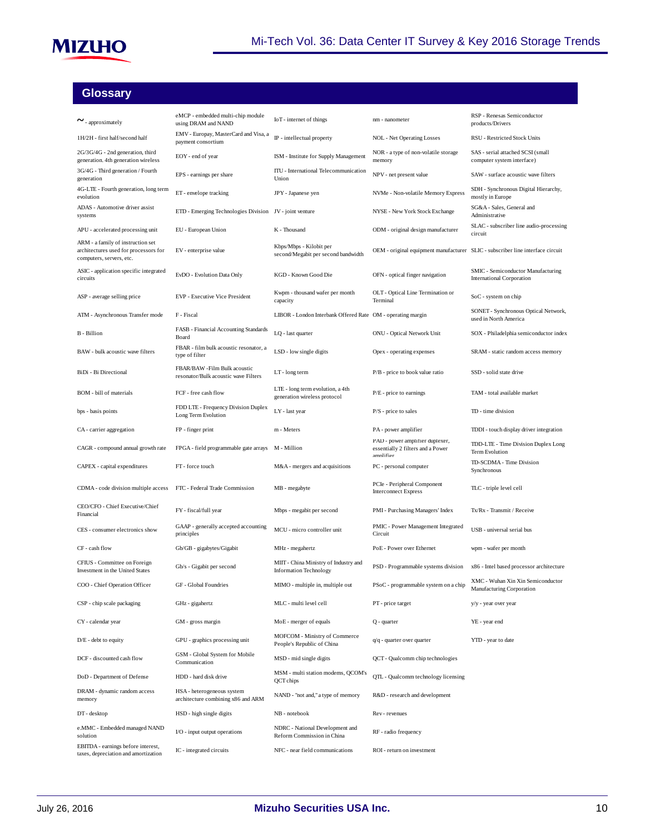

# **Glossary**

| $\sim$ - approximately                                                                                 | eMCP - embedded multi-chip module<br>using DRAM and NAND             | IoT - internet of things                                               | nm - nanometer                                                                    | RSP - Renesas Semiconductor<br>products/Drivers                        |
|--------------------------------------------------------------------------------------------------------|----------------------------------------------------------------------|------------------------------------------------------------------------|-----------------------------------------------------------------------------------|------------------------------------------------------------------------|
| 1H/2H - first half/second half                                                                         | EMV - Europay, MasterCard and Visa, a<br>payment consortium          | IP - intellectual property                                             | <b>NOL</b> - Net Operating Losses                                                 | RSU - Restricted Stock Units                                           |
| 2G/3G/4G - 2nd generation, third<br>generation. 4th generation wireless                                | EOY - end of year                                                    | ISM - Institute for Supply Management                                  | NOR - a type of non-volatile storage<br>memory                                    | SAS - serial attached SCSI (small<br>computer system interface)        |
| 3G/4G - Third generation / Fourth<br>generation                                                        | EPS - earnings per share                                             | ITU - International Telecommunication<br>Union                         | NPV - net present value                                                           | SAW - surface acoustic wave filters                                    |
| 4G-LTE - Fourth generation, long term<br>evolution                                                     | ET-envelope tracking                                                 | JPY - Japanese yen                                                     | NVMe - Non-volatile Memory Express                                                | SDH - Synchronous Digital Hierarchy,<br>mostly in Europe               |
| ADAS - Automotive driver assist<br>systems                                                             | ETD - Emerging Technologies Division JV - joint venture              |                                                                        | NYSE - New York Stock Exchange                                                    | SG&A - Sales, General and<br>Administrative                            |
| APU - accelerated processing unit                                                                      | EU - European Union                                                  | K - Thousand                                                           | ODM - original design manufacturer                                                | SLAC - subscriber line audio-processing<br>circuit                     |
| ARM - a family of instruction set<br>architectures used for processors for<br>computers, servers, etc. | EV - enterprise value                                                | Kbps/Mbps - Kilobit per<br>second/Megabit per second bandwidth         | OEM - original equipment manufacturer SLIC - subscriber line interface circuit    |                                                                        |
| ASIC - application specific integrated<br>circuits                                                     | EvDO - Evolution Data Only                                           | KGD - Known Good Die                                                   | OFN - optical finger navigation                                                   | SMIC - Semiconductor Manufacturing<br><b>International Corporation</b> |
| ASP - average selling price                                                                            | EVP - Executive Vice President                                       | Kwpm - thousand wafer per month<br>capacity                            | OLT - Optical Line Termination or<br>Terminal                                     | SoC - system on chip                                                   |
| ATM - Asynchronous Transfer mode                                                                       | F - Fiscal                                                           | LIBOR - London Interbank Offered Rate OM - operating margin            |                                                                                   | SONET - Synchronous Optical Network,<br>used in North America          |
| <b>B</b> - Billion                                                                                     | FASB - Financial Accounting Standards<br>Board                       | LQ - last quarter                                                      | ONU - Optical Network Unit                                                        | SOX - Philadelphia semiconductor index                                 |
| BAW - bulk acoustic wave filters                                                                       | FBAR - film bulk acoustic resonator, a<br>type of filter             | LSD - low single digits                                                | Opex - operating expenses                                                         | SRAM - static random access memory                                     |
| BiDi - Bi Directional                                                                                  | FBAR/BAW -Film Bulk acoustic<br>resonator/Bulk acoustic wave Filters | LT-long term                                                           | P/B - price to book value ratio                                                   | SSD - solid state drive                                                |
| BOM - bill of materials                                                                                | FCF - free cash flow                                                 | LTE - long term evolution, a 4th<br>generation wireless protocol       | P/E - price to earnings                                                           | TAM - total available market                                           |
| bps - basis points                                                                                     | FDD LTE - Frequency Division Duplex<br>Long Term Evolution           | LY - last year                                                         | $P/S$ - price to sales                                                            | TD - time division                                                     |
| CA - carrier aggregation                                                                               | FP - finger print                                                    | m - Meters                                                             | PA - power amplifier                                                              | TDDI - touch display driver integration                                |
| CAGR - compound annual growth rate                                                                     | FPGA - field programmable gate arrays                                | M - Million                                                            | PAD - power amplifier duplexer,<br>essentially 2 filters and a Power<br>amnlifier | TDD-LTE - Time Division Duplex Long<br>Term Evolution                  |
| CAPEX - capital expenditures                                                                           | FT-force touch                                                       | M&A - mergers and acquisitions                                         | PC - personal computer                                                            | TD-SCDMA - Time Division<br>Synchronous                                |
| CDMA - code division multiple access                                                                   | FTC - Federal Trade Commission                                       | MB - megabyte                                                          | PCIe - Peripheral Component<br><b>Interconnect Express</b>                        | TLC - triple level cell                                                |
| CEO/CFO - Chief Executive/Chief<br>Financial                                                           | FY - fiscal/full year                                                | Mbps - megabit per second                                              | PMI - Purchasing Managers' Index                                                  | Tx/Rx - Transmit / Receive                                             |
| CES - consumer electronics show                                                                        | GAAP - generally accepted accounting<br>principles                   | MCU - micro controller unit                                            | PMIC - Power Management Integrated<br>Circuit                                     | USB - universal serial bus                                             |
| CF - cash flow                                                                                         | Gb/GB - gigabytes/Gigabit                                            | MHz - megahertz                                                        | PoE - Power over Ethernet                                                         | wpm - wafer per month                                                  |
| CFIUS - Committee on Foreign<br>Investment in the United States                                        | Gb/s - Gigabit per second                                            | MIIT - China Ministry of Industry and<br><b>Information Technology</b> | PSD - Programmable systems division                                               | x86 - Intel based processor architecture                               |
| COO - Chief Operation Officer                                                                          | GF - Global Foundries                                                | MIMO - multiple in, multiple out                                       | PSoC - programmable system on a chip                                              | XMC - Wuhan Xin Xin Semiconductor<br>Manufacturing Corporation         |
| CSP - chip scale packaging                                                                             | GHz - gigahertz                                                      | MLC - multi level cell                                                 | PT - price target                                                                 | y/y - year over year                                                   |
| CY - calendar year                                                                                     | GM - gross margin                                                    | MoE - merger of equals                                                 | $Q$ - quarter                                                                     | YE - year end                                                          |
| D/E - debt to equity                                                                                   | GPU - graphics processing unit                                       | MOFCOM - Ministry of Commerce<br>People's Republic of China            | q/q - quarter over quarter                                                        | YTD - year to date                                                     |
| DCF - discounted cash flow                                                                             | GSM - Global System for Mobile<br>Communication                      | MSD - mid single digits                                                | QCT - Qualcomm chip technologies                                                  |                                                                        |
| DoD - Department of Defense                                                                            | HDD - hard disk drive                                                | MSM - multi station modems, QCOM's<br>QCT chips                        | QTL - Qualcomm technology licensing                                               |                                                                        |
| DRAM - dynamic random access<br>memory                                                                 | HSA - heterogeneous system<br>architecture combining x86 and ARM     | NAND - "not and," a type of memory                                     | R&D - research and development                                                    |                                                                        |
| DT-desktop                                                                                             | HSD - high single digits                                             | NB - notebook                                                          | Rev-revenues                                                                      |                                                                        |
| e.MMC - Embedded managed NAND<br>solution                                                              | I/O - input output operations                                        | NDRC - National Development and<br>Reform Commission in China          | RF - radio frequency                                                              |                                                                        |
| EBITDA - earnings before interest,<br>taxes, depreciation and amortization                             | IC - integrated circuits                                             | NFC - near field communications                                        | ROI - return on investment                                                        |                                                                        |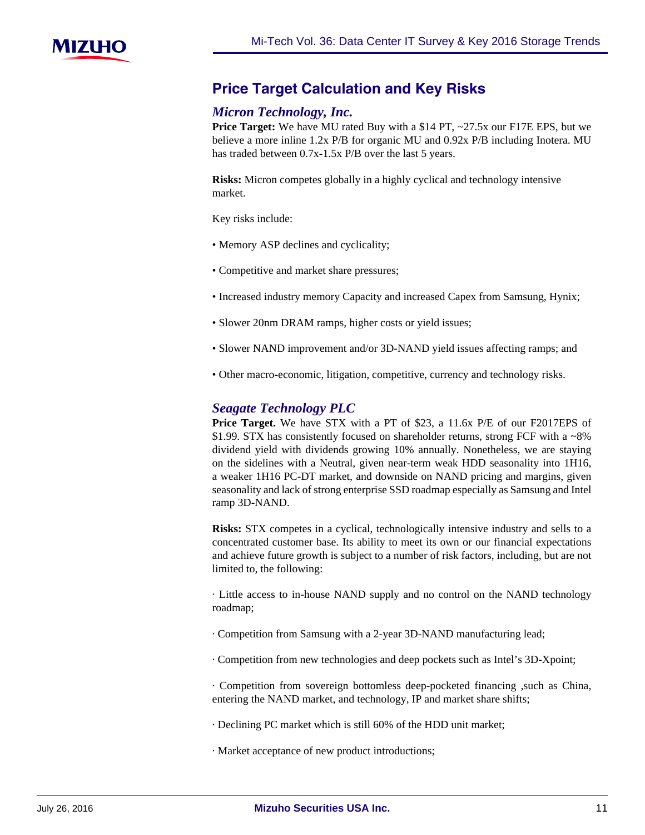

# **Price-Target-Calculation-and-Key-Risks**

# *Micron Technology, Inc.*

**Price Target:** We have MU rated Buy with a \$14 PT, ~27.5x our F17E EPS, but we believe a more inline 1.2x P/B for organic MU and 0.92x P/B including Inotera. MU has traded between  $0.7x-1.5x$  P/B over the last 5 years.

**Risks:** Micron competes globally in a highly cyclical and technology intensive market.

Key risks include:

- Memory ASP declines and cyclicality;
- Competitive and market share pressures;
- Increased industry memory Capacity and increased Capex from Samsung, Hynix;
- Slower 20nm DRAM ramps, higher costs or yield issues;
- Slower NAND improvement and/or 3D-NAND yield issues affecting ramps; and
- Other macro-economic, litigation, competitive, currency and technology risks.

# *Seagate Technology PLC*

**Price Target.** We have STX with a PT of \$23, a 11.6x P/E of our F2017EPS of \$1.99. STX has consistently focused on shareholder returns, strong FCF with a ~8% dividend yield with dividends growing 10% annually. Nonetheless, we are staying on the sidelines with a Neutral, given near-term weak HDD seasonality into 1H16, a weaker 1H16 PC-DT market, and downside on NAND pricing and margins, given seasonality and lack of strong enterprise SSD roadmap especially as Samsung and Intel ramp 3D-NAND.

**Risks:** STX competes in a cyclical, technologically intensive industry and sells to a concentrated customer base. Its ability to meet its own or our financial expectations and achieve future growth is subject to a number of risk factors, including, but are not limited to, the following:

· Little access to in-house NAND supply and no control on the NAND technology roadmap;

· Competition from Samsung with a 2-year 3D-NAND manufacturing lead;

· Competition from new technologies and deep pockets such as Intel's 3D-Xpoint;

· Competition from sovereign bottomless deep-pocketed financing ,such as China, entering the NAND market, and technology, IP and market share shifts;

· Declining PC market which is still 60% of the HDD unit market;

· Market acceptance of new product introductions;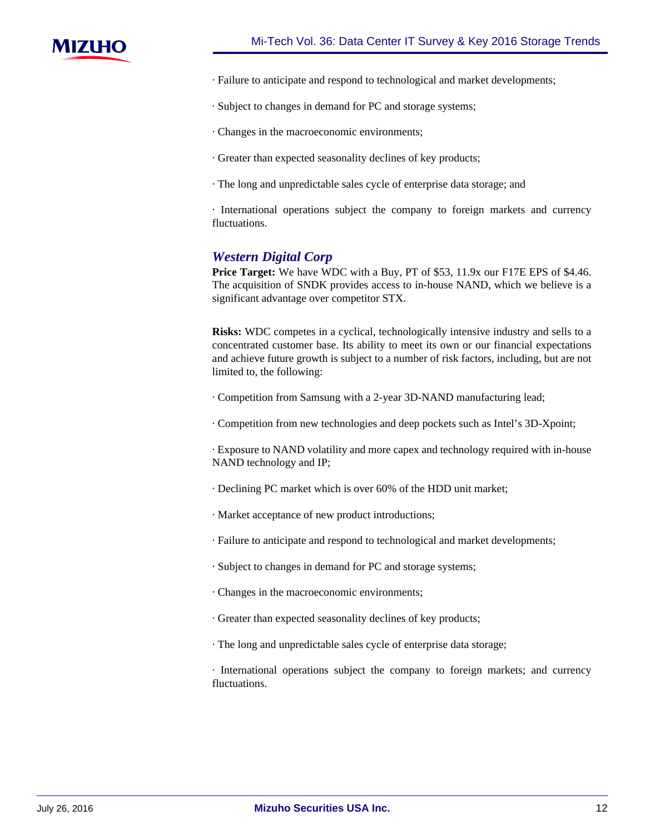

- · Failure to anticipate and respond to technological and market developments;
- · Subject to changes in demand for PC and storage systems;
- · Changes in the macroeconomic environments;
- · Greater than expected seasonality declines of key products;
- · The long and unpredictable sales cycle of enterprise data storage; and

· International operations subject the company to foreign markets and currency fluctuations.

# *Western Digital Corp*

**Price Target:** We have WDC with a Buy, PT of \$53, 11.9x our F17E EPS of \$4.46. The acquisition of SNDK provides access to in-house NAND, which we believe is a significant advantage over competitor STX.

**Risks:** WDC competes in a cyclical, technologically intensive industry and sells to a concentrated customer base. Its ability to meet its own or our financial expectations and achieve future growth is subject to a number of risk factors, including, but are not limited to, the following:

· Competition from Samsung with a 2-year 3D-NAND manufacturing lead;

· Competition from new technologies and deep pockets such as Intel's 3D-Xpoint;

· Exposure to NAND volatility and more capex and technology required with in-house NAND technology and IP;

- · Declining PC market which is over 60% of the HDD unit market;
- · Market acceptance of new product introductions;
- · Failure to anticipate and respond to technological and market developments;
- · Subject to changes in demand for PC and storage systems;
- · Changes in the macroeconomic environments;
- · Greater than expected seasonality declines of key products;
- · The long and unpredictable sales cycle of enterprise data storage;

· International operations subject the company to foreign markets; and currency fluctuations.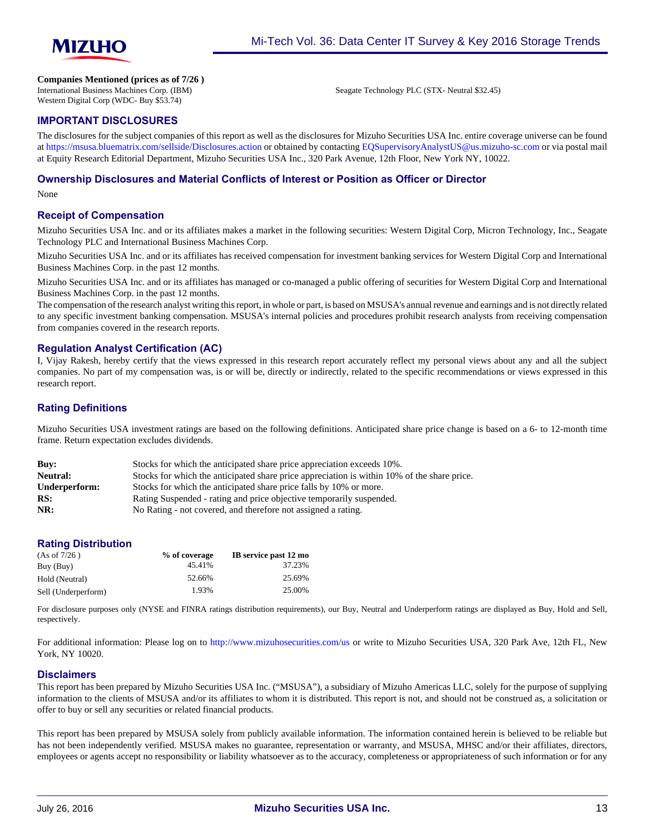

**Companies Mentioned (prices as of 7/26 )**

International Business Machines Corp. (IBM) Western Digital Corp (WDC- Buy \$53.74)

Seagate Technology PLC (STX- Neutral \$32.45)

#### **IMPORTANT DISCLOSURES**

The disclosures for the subject companies of this report as well as the disclosures for Mizuho Securities USA Inc. entire coverage universe can be found at<https://msusa.bluematrix.com/sellside/Disclosures.action>or obtained by contacting [EQSupervisoryAnalystUS@us.mizuho-sc.com](mailto:EQSupervisoryAnalystUS@us.mizuho-sc.com) or via postal mail at Equity Research Editorial Department, Mizuho Securities USA Inc., 320 Park Avenue, 12th Floor, New York NY, 10022.

#### **Ownership Disclosures and Material Conflicts of Interest or Position as Officer or Director**

None

#### **Receipt of Compensation**

Mizuho Securities USA Inc. and or its affiliates makes a market in the following securities: Western Digital Corp, Micron Technology, Inc., Seagate Technology PLC and International Business Machines Corp.

Mizuho Securities USA Inc. and or its affiliates has received compensation for investment banking services for Western Digital Corp and International Business Machines Corp. in the past 12 months.

Mizuho Securities USA Inc. and or its affiliates has managed or co-managed a public offering of securities for Western Digital Corp and International Business Machines Corp. in the past 12 months.

The compensation of the research analyst writing this report, in whole or part, is based on MSUSA's annual revenue and earnings and is not directly related to any specific investment banking compensation. MSUSA's internal policies and procedures prohibit research analysts from receiving compensation from companies covered in the research reports.

#### **Regulation Analyst Certification (AC)**

I, Vijay Rakesh, hereby certify that the views expressed in this research report accurately reflect my personal views about any and all the subject companies. No part of my compensation was, is or will be, directly or indirectly, related to the specific recommendations or views expressed in this research report.

#### **Rating Definitions**

Mizuho Securities USA investment ratings are based on the following definitions. Anticipated share price change is based on a 6- to 12-month time frame. Return expectation excludes dividends.

| Buv:            | Stocks for which the anticipated share price appreciation exceeds 10%.                      |
|-----------------|---------------------------------------------------------------------------------------------|
| <b>Neutral:</b> | Stocks for which the anticipated share price appreciation is within 10% of the share price. |
| Underperform:   | Stocks for which the anticipated share price falls by 10% or more.                          |
| RS:             | Rating Suspended - rating and price objective temporarily suspended.                        |
| NR:             | No Rating - not covered, and therefore not assigned a rating.                               |

#### **Rating Distribution**

| (As of 7/26)        | % of coverage | IB service past 12 mo |
|---------------------|---------------|-----------------------|
| Buy (Buy)           | 45.41%        | 37.23%                |
| Hold (Neutral)      | 52.66%        | 25.69%                |
| Sell (Underperform) | 1.93%         | 25.00%                |

For disclosure purposes only (NYSE and FINRA ratings distribution requirements), our Buy, Neutral and Underperform ratings are displayed as Buy, Hold and Sell, respectively.

For additional information: Please log on to <http://www.mizuhosecurities.com/us> or write to Mizuho Securities USA, 320 Park Ave, 12th FL, New York, NY 10020.

#### **Disclaimers**

This report has been prepared by Mizuho Securities USA Inc. ("MSUSA"), a subsidiary of Mizuho Americas LLC, solely for the purpose of supplying information to the clients of MSUSA and/or its affiliates to whom it is distributed. This report is not, and should not be construed as, a solicitation or offer to buy or sell any securities or related financial products.

This report has been prepared by MSUSA solely from publicly available information. The information contained herein is believed to be reliable but has not been independently verified. MSUSA makes no guarantee, representation or warranty, and MSUSA, MHSC and/or their affiliates, directors, employees or agents accept no responsibility or liability whatsoever as to the accuracy, completeness or appropriateness of such information or for any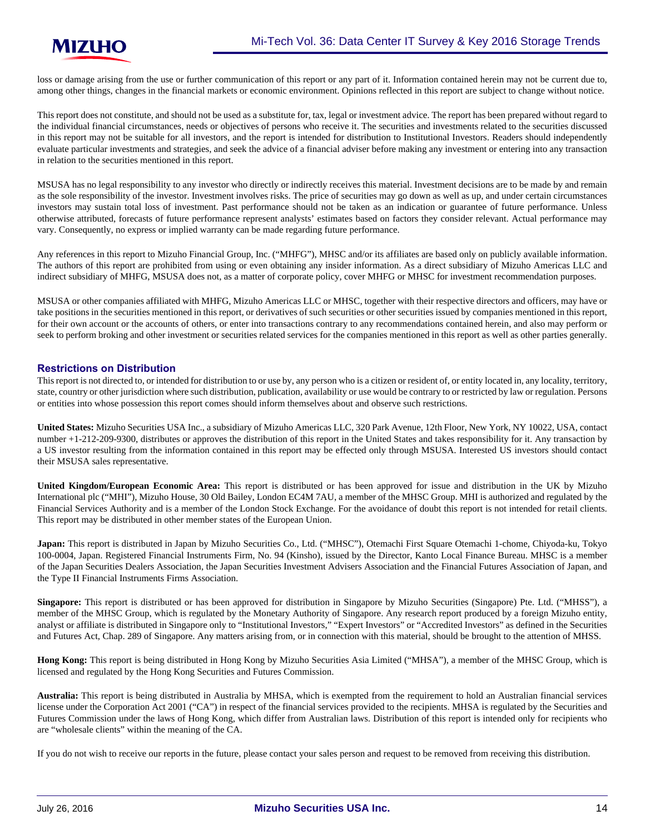loss or damage arising from the use or further communication of this report or any part of it. Information contained herein may not be current due to, among other things, changes in the financial markets or economic environment. Opinions reflected in this report are subject to change without notice.

This report does not constitute, and should not be used as a substitute for, tax, legal or investment advice. The report has been prepared without regard to the individual financial circumstances, needs or objectives of persons who receive it. The securities and investments related to the securities discussed in this report may not be suitable for all investors, and the report is intended for distribution to Institutional Investors. Readers should independently evaluate particular investments and strategies, and seek the advice of a financial adviser before making any investment or entering into any transaction in relation to the securities mentioned in this report.

MSUSA has no legal responsibility to any investor who directly or indirectly receives this material. Investment decisions are to be made by and remain as the sole responsibility of the investor. Investment involves risks. The price of securities may go down as well as up, and under certain circumstances investors may sustain total loss of investment. Past performance should not be taken as an indication or guarantee of future performance. Unless otherwise attributed, forecasts of future performance represent analysts' estimates based on factors they consider relevant. Actual performance may vary. Consequently, no express or implied warranty can be made regarding future performance.

Any references in this report to Mizuho Financial Group, Inc. ("MHFG"), MHSC and/or its affiliates are based only on publicly available information. The authors of this report are prohibited from using or even obtaining any insider information. As a direct subsidiary of Mizuho Americas LLC and indirect subsidiary of MHFG, MSUSA does not, as a matter of corporate policy, cover MHFG or MHSC for investment recommendation purposes.

MSUSA or other companies affiliated with MHFG, Mizuho Americas LLC or MHSC, together with their respective directors and officers, may have or take positions in the securities mentioned in this report, or derivatives of such securities or other securities issued by companies mentioned in this report, for their own account or the accounts of others, or enter into transactions contrary to any recommendations contained herein, and also may perform or seek to perform broking and other investment or securities related services for the companies mentioned in this report as well as other parties generally.

#### **Restrictions on Distribution**

This report is not directed to, or intended for distribution to or use by, any person who is a citizen or resident of, or entity located in, any locality, territory, state, country or other jurisdiction where such distribution, publication, availability or use would be contrary to or restricted by law or regulation. Persons or entities into whose possession this report comes should inform themselves about and observe such restrictions.

**United States:** Mizuho Securities USA Inc., a subsidiary of Mizuho Americas LLC, 320 Park Avenue, 12th Floor, New York, NY 10022, USA, contact number +1-212-209-9300, distributes or approves the distribution of this report in the United States and takes responsibility for it. Any transaction by a US investor resulting from the information contained in this report may be effected only through MSUSA. Interested US investors should contact their MSUSA sales representative.

**United Kingdom/European Economic Area:** This report is distributed or has been approved for issue and distribution in the UK by Mizuho International plc ("MHI"), Mizuho House, 30 Old Bailey, London EC4M 7AU, a member of the MHSC Group. MHI is authorized and regulated by the Financial Services Authority and is a member of the London Stock Exchange. For the avoidance of doubt this report is not intended for retail clients. This report may be distributed in other member states of the European Union.

**Japan:** This report is distributed in Japan by Mizuho Securities Co., Ltd. ("MHSC"), Otemachi First Square Otemachi 1-chome, Chiyoda-ku, Tokyo 100-0004, Japan. Registered Financial Instruments Firm, No. 94 (Kinsho), issued by the Director, Kanto Local Finance Bureau. MHSC is a member of the Japan Securities Dealers Association, the Japan Securities Investment Advisers Association and the Financial Futures Association of Japan, and the Type II Financial Instruments Firms Association.

**Singapore:** This report is distributed or has been approved for distribution in Singapore by Mizuho Securities (Singapore) Pte. Ltd. ("MHSS"), a member of the MHSC Group, which is regulated by the Monetary Authority of Singapore. Any research report produced by a foreign Mizuho entity, analyst or affiliate is distributed in Singapore only to "Institutional Investors," "Expert Investors" or "Accredited Investors" as defined in the Securities and Futures Act, Chap. 289 of Singapore. Any matters arising from, or in connection with this material, should be brought to the attention of MHSS.

**Hong Kong:** This report is being distributed in Hong Kong by Mizuho Securities Asia Limited ("MHSA"), a member of the MHSC Group, which is licensed and regulated by the Hong Kong Securities and Futures Commission.

**Australia:** This report is being distributed in Australia by MHSA, which is exempted from the requirement to hold an Australian financial services license under the Corporation Act 2001 ("CA") in respect of the financial services provided to the recipients. MHSA is regulated by the Securities and Futures Commission under the laws of Hong Kong, which differ from Australian laws. Distribution of this report is intended only for recipients who are "wholesale clients" within the meaning of the CA.

If you do not wish to receive our reports in the future, please contact your sales person and request to be removed from receiving this distribution.